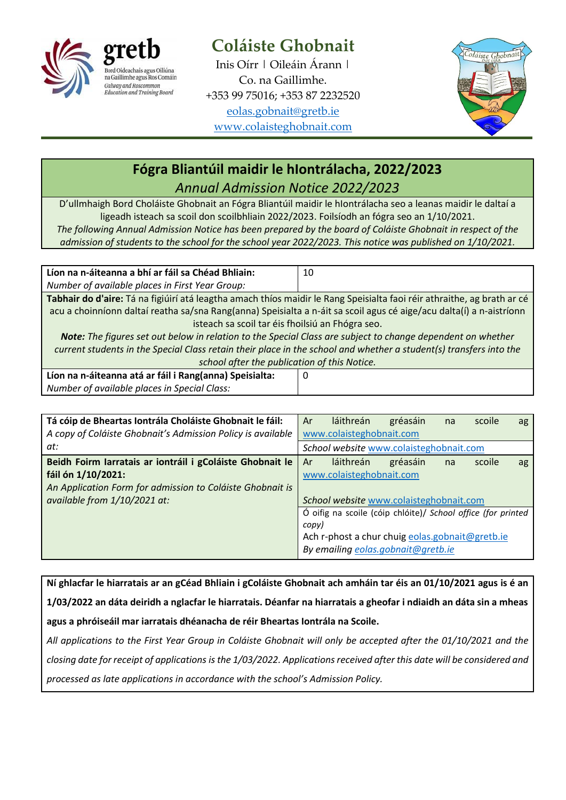

## **Coláiste Ghobnait**

Inis Oírr | Oileáin Árann | Co. na Gaillimhe. +353 99 75016; +353 87 2232520 [eolas.gobnait@gretb.ie](mailto:eolas.gobnait@gretb.ie) [www.colaisteghobnait.com](http://www.colaisteghobnait.com/)



## **Fógra Bliantúil maidir le hIontrálacha, 2022/2023** *Annual Admission Notice 2022/2023*

D'ullmhaigh Bord Choláiste Ghobnait an Fógra Bliantúil maidir le hIontrálacha seo a leanas maidir le daltaí a ligeadh isteach sa scoil don scoilbhliain 2022/2023. Foilsíodh an fógra seo an 1/10/2021. *The following Annual Admission Notice has been prepared by the board of Coláiste Ghobnait in respect of the* 

*admission of students to the school for the school year 2022/2023. This notice was published on 1/10/2021.*

| Líon na n-áiteanna a bhí ar fáil sa Chéad Bhliain:                                                                      | 10 |
|-------------------------------------------------------------------------------------------------------------------------|----|
| Number of available places in First Year Group:                                                                         |    |
| Tabhair do d'aire: Tá na figiúirí atá leagtha amach thíos maidir le Rang Speisialta faoi réir athraithe, ag brath ar cé |    |
| acu a choinníonn daltaí reatha sa/sna Rang(anna) Speisialta a n-áit sa scoil agus cé aige/acu dalta(í) a n-aistríonn    |    |
| isteach sa scoil tar éis fhoilsiú an Fhógra seo.                                                                        |    |
| Note: The figures set out below in relation to the Special Class are subject to change dependent on whether             |    |
| current students in the Special Class retain their place in the school and whether a student(s) transfers into the      |    |
| school after the publication of this Notice.                                                                            |    |
| Líon na n-áiteanna atá ar fáil i Rang(anna) Speisialta:                                                                 | 0  |
| Number of available places in Special Class:                                                                            |    |

| Tá cóip de Bheartas Iontrála Choláiste Ghobnait le fáil:<br>A copy of Coláiste Ghobnait's Admission Policy is available | Ar<br>láithreán<br>scoile<br>gréasáin<br>na<br>ag<br>www.colaisteghobnait.com |
|-------------------------------------------------------------------------------------------------------------------------|-------------------------------------------------------------------------------|
| at:                                                                                                                     | School website www.colaisteghobnait.com                                       |
| Beidh Foirm Iarratais ar iontráil i gColáiste Ghobnait le                                                               | láithreán<br>Ar<br>gréasáin<br>scoile<br>na<br>ag                             |
| fáil ón 1/10/2021:                                                                                                      | www.colaisteghobnait.com                                                      |
| An Application Form for admission to Coláiste Ghobnait is                                                               |                                                                               |
| available from 1/10/2021 at:                                                                                            | School website www.colaisteghobnait.com                                       |
|                                                                                                                         | Ó oifig na scoile (cóip chlóite)/ School office (for printed                  |
|                                                                                                                         | copy)                                                                         |
|                                                                                                                         | Ach r-phost a chur chuig eolas.gobnait@gretb.ie                               |
|                                                                                                                         | By emailing eolas.gobnait@gretb.ie                                            |

**Ní ghlacfar le hiarratais ar an gCéad Bhliain i gColáiste Ghobnait ach amháin tar éis an 01/10/2021 agus is é an 1/03/2022 an dáta deiridh a nglacfar le hiarratais. Déanfar na hiarratais a gheofar i ndiaidh an dáta sin a mheas agus a phróiseáil mar iarratais dhéanacha de réir Bheartas Iontrála na Scoile.**

*All applications to the First Year Group in Coláiste Ghobnait will only be accepted after the 01/10/2021 and the closing date for receipt of applications is the 1/03/2022. Applications received after this date will be considered and processed as late applications in accordance with the school's Admission Policy.*